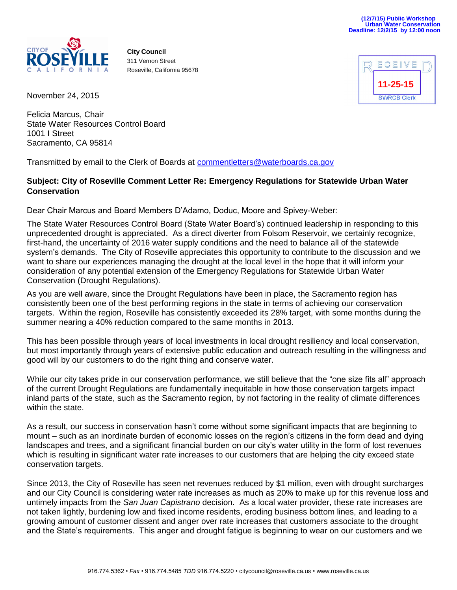

**City Council** 311 Vernon Street Roseville, California 95678



November 24, 2015

Felicia Marcus, Chair State Water Resources Control Board 1001 I Street Sacramento, CA 95814

Transmitted by email to the Clerk of Boards at [commentletters@waterboards.ca.gov](mailto:commentletters@waterboards.ca.gov)

## **Subject: City of Roseville Comment Letter Re: Emergency Regulations for Statewide Urban Water Conservation**

Dear Chair Marcus and Board Members D'Adamo, Doduc, Moore and Spivey-Weber:

The State Water Resources Control Board (State Water Board's) continued leadership in responding to this unprecedented drought is appreciated. As a direct diverter from Folsom Reservoir, we certainly recognize, first-hand, the uncertainty of 2016 water supply conditions and the need to balance all of the statewide system's demands. The City of Roseville appreciates this opportunity to contribute to the discussion and we want to share our experiences managing the drought at the local level in the hope that it will inform your consideration of any potential extension of the Emergency Regulations for Statewide Urban Water Conservation (Drought Regulations).

As you are well aware, since the Drought Regulations have been in place, the Sacramento region has consistently been one of the best performing regions in the state in terms of achieving our conservation targets. Within the region, Roseville has consistently exceeded its 28% target, with some months during the summer nearing a 40% reduction compared to the same months in 2013.

This has been possible through years of local investments in local drought resiliency and local conservation, but most importantly through years of extensive public education and outreach resulting in the willingness and good will by our customers to do the right thing and conserve water.

While our city takes pride in our conservation performance, we still believe that the "one size fits all" approach of the current Drought Regulations are fundamentally inequitable in how those conservation targets impact inland parts of the state, such as the Sacramento region, by not factoring in the reality of climate differences within the state.

As a result, our success in conservation hasn't come without some significant impacts that are beginning to mount – such as an inordinate burden of economic losses on the region's citizens in the form dead and dying landscapes and trees, and a significant financial burden on our city's water utility in the form of lost revenues which is resulting in significant water rate increases to our customers that are helping the city exceed state conservation targets.

Since 2013, the City of Roseville has seen net revenues reduced by \$1 million, even with drought surcharges and our City Council is considering water rate increases as much as 20% to make up for this revenue loss and untimely impacts from the *San Juan Capistrano* decision. As a local water provider, these rate increases are not taken lightly, burdening low and fixed income residents, eroding business bottom lines, and leading to a growing amount of customer dissent and anger over rate increases that customers associate to the drought and the State's requirements. This anger and drought fatigue is beginning to wear on our customers and we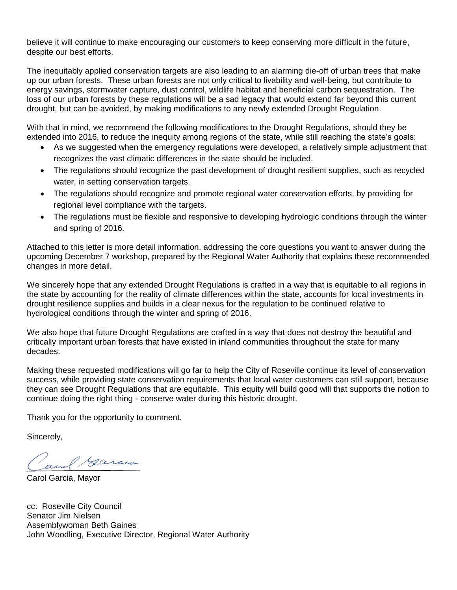believe it will continue to make encouraging our customers to keep conserving more difficult in the future, despite our best efforts.

The inequitably applied conservation targets are also leading to an alarming die-off of urban trees that make up our urban forests. These urban forests are not only critical to livability and well-being, but contribute to energy savings, stormwater capture, dust control, wildlife habitat and beneficial carbon sequestration. The loss of our urban forests by these regulations will be a sad legacy that would extend far beyond this current drought, but can be avoided, by making modifications to any newly extended Drought Regulation.

With that in mind, we recommend the following modifications to the Drought Regulations, should they be extended into 2016, to reduce the inequity among regions of the state, while still reaching the state's goals:

- As we suggested when the emergency regulations were developed, a relatively simple adjustment that recognizes the vast climatic differences in the state should be included.
- The regulations should recognize the past development of drought resilient supplies, such as recycled water, in setting conservation targets.
- The regulations should recognize and promote regional water conservation efforts, by providing for regional level compliance with the targets.
- The regulations must be flexible and responsive to developing hydrologic conditions through the winter and spring of 2016.

Attached to this letter is more detail information, addressing the core questions you want to answer during the upcoming December 7 workshop, prepared by the Regional Water Authority that explains these recommended changes in more detail.

We sincerely hope that any extended Drought Regulations is crafted in a way that is equitable to all regions in the state by accounting for the reality of climate differences within the state, accounts for local investments in drought resilience supplies and builds in a clear nexus for the regulation to be continued relative to hydrological conditions through the winter and spring of 2016.

We also hope that future Drought Regulations are crafted in a way that does not destroy the beautiful and critically important urban forests that have existed in inland communities throughout the state for many decades.

Making these requested modifications will go far to help the City of Roseville continue its level of conservation success, while providing state conservation requirements that local water customers can still support, because they can see Drought Regulations that are equitable. This equity will build good will that supports the notion to continue doing the right thing - conserve water during this historic drought.

Thank you for the opportunity to comment.

Sincerely,

Cam*l Garcia* 

cc: Roseville City Council Senator Jim Nielsen Assemblywoman Beth Gaines John Woodling, Executive Director, Regional Water Authority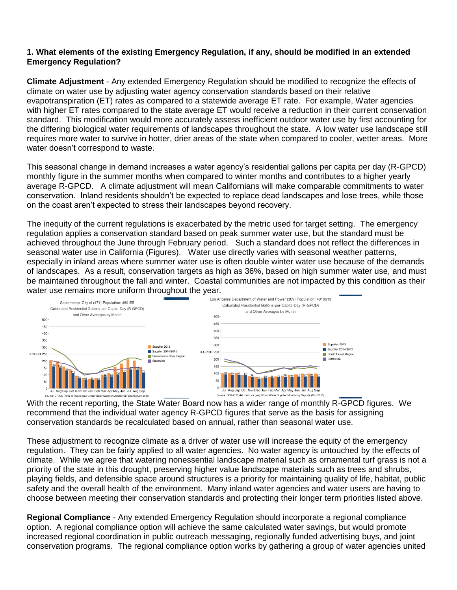## **1. What elements of the existing Emergency Regulation, if any, should be modified in an extended Emergency Regulation?**

**Climate Adjustment** - Any extended Emergency Regulation should be modified to recognize the effects of climate on water use by adjusting water agency conservation standards based on their relative evapotranspiration (ET) rates as compared to a statewide average ET rate. For example, Water agencies with higher ET rates compared to the state average ET would receive a reduction in their current conservation standard. This modification would more accurately assess inefficient outdoor water use by first accounting for the differing biological water requirements of landscapes throughout the state. A low water use landscape still requires more water to survive in hotter, drier areas of the state when compared to cooler, wetter areas. More water doesn't correspond to waste.

This seasonal change in demand increases a water agency's residential gallons per capita per day (R-GPCD) monthly figure in the summer months when compared to winter months and contributes to a higher yearly average R-GPCD. A climate adjustment will mean Californians will make comparable commitments to water conservation. Inland residents shouldn't be expected to replace dead landscapes and lose trees, while those on the coast aren't expected to stress their landscapes beyond recovery.

The inequity of the current regulations is exacerbated by the metric used for target setting. The emergency regulation applies a conservation standard based on peak summer water use, but the standard must be achieved throughout the June through February period. Such a standard does not reflect the differences in seasonal water use in California (Figures). Water use directly varies with seasonal weather patterns, especially in inland areas where summer water use is often double winter water use because of the demands of landscapes. As a result, conservation targets as high as 36%, based on high summer water use, and must be maintained throughout the fall and winter. Coastal communities are not impacted by this condition as their water use remains more uniform throughout the year.



With the recent reporting, the State Water Board now has a wider range of monthly R-GPCD figures. We recommend that the individual water agency R-GPCD figures that serve as the basis for assigning conservation standards be recalculated based on annual, rather than seasonal water use.

These adjustment to recognize climate as a driver of water use will increase the equity of the emergency regulation. They can be fairly applied to all water agencies. No water agency is untouched by the effects of climate. While we agree that watering nonessential landscape material such as ornamental turf grass is not a priority of the state in this drought, preserving higher value landscape materials such as trees and shrubs, playing fields, and defensible space around structures is a priority for maintaining quality of life, habitat, public safety and the overall health of the environment. Many inland water agencies and water users are having to choose between meeting their conservation standards and protecting their longer term priorities listed above.

**Regional Compliance** - Any extended Emergency Regulation should incorporate a regional compliance option. A regional compliance option will achieve the same calculated water savings, but would promote increased regional coordination in public outreach messaging, regionally funded advertising buys, and joint conservation programs. The regional compliance option works by gathering a group of water agencies united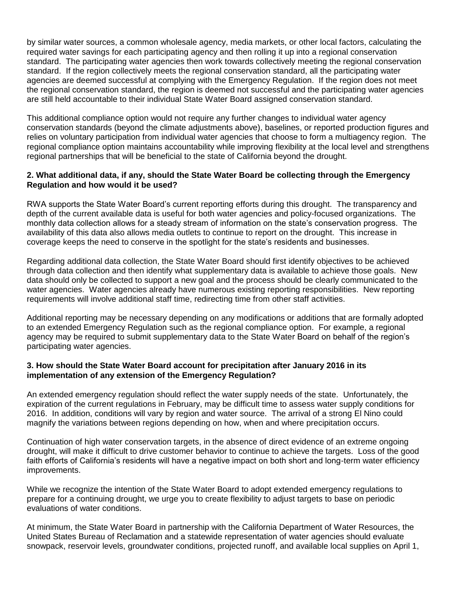by similar water sources, a common wholesale agency, media markets, or other local factors, calculating the required water savings for each participating agency and then rolling it up into a regional conservation standard. The participating water agencies then work towards collectively meeting the regional conservation standard. If the region collectively meets the regional conservation standard, all the participating water agencies are deemed successful at complying with the Emergency Regulation. If the region does not meet the regional conservation standard, the region is deemed not successful and the participating water agencies are still held accountable to their individual State Water Board assigned conservation standard.

This additional compliance option would not require any further changes to individual water agency conservation standards (beyond the climate adjustments above), baselines, or reported production figures and relies on voluntary participation from individual water agencies that choose to form a multiagency region. The regional compliance option maintains accountability while improving flexibility at the local level and strengthens regional partnerships that will be beneficial to the state of California beyond the drought.

## **2. What additional data, if any, should the State Water Board be collecting through the Emergency Regulation and how would it be used?**

RWA supports the State Water Board's current reporting efforts during this drought. The transparency and depth of the current available data is useful for both water agencies and policy-focused organizations. The monthly data collection allows for a steady stream of information on the state's conservation progress. The availability of this data also allows media outlets to continue to report on the drought. This increase in coverage keeps the need to conserve in the spotlight for the state's residents and businesses.

Regarding additional data collection, the State Water Board should first identify objectives to be achieved through data collection and then identify what supplementary data is available to achieve those goals. New data should only be collected to support a new goal and the process should be clearly communicated to the water agencies. Water agencies already have numerous existing reporting responsibilities. New reporting requirements will involve additional staff time, redirecting time from other staff activities.

Additional reporting may be necessary depending on any modifications or additions that are formally adopted to an extended Emergency Regulation such as the regional compliance option. For example, a regional agency may be required to submit supplementary data to the State Water Board on behalf of the region's participating water agencies.

## **3. How should the State Water Board account for precipitation after January 2016 in its implementation of any extension of the Emergency Regulation?**

An extended emergency regulation should reflect the water supply needs of the state. Unfortunately, the expiration of the current regulations in February, may be difficult time to assess water supply conditions for 2016. In addition, conditions will vary by region and water source. The arrival of a strong El Nino could magnify the variations between regions depending on how, when and where precipitation occurs.

Continuation of high water conservation targets, in the absence of direct evidence of an extreme ongoing drought, will make it difficult to drive customer behavior to continue to achieve the targets. Loss of the good faith efforts of California's residents will have a negative impact on both short and long-term water efficiency improvements.

While we recognize the intention of the State Water Board to adopt extended emergency regulations to prepare for a continuing drought, we urge you to create flexibility to adjust targets to base on periodic evaluations of water conditions.

At minimum, the State Water Board in partnership with the California Department of Water Resources, the United States Bureau of Reclamation and a statewide representation of water agencies should evaluate snowpack, reservoir levels, groundwater conditions, projected runoff, and available local supplies on April 1,